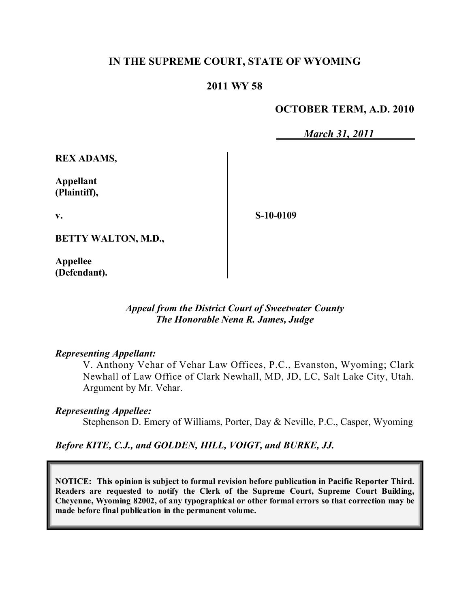# **IN THE SUPREME COURT, STATE OF WYOMING**

## **2011 WY 58**

### **OCTOBER TERM, A.D. 2010**

*March 31, 2011*

**REX ADAMS,**

**Appellant (Plaintiff),**

**v.**

**S-10-0109**

**BETTY WALTON, M.D.,**

**Appellee (Defendant).**

> *Appeal from the District Court of Sweetwater County The Honorable Nena R. James, Judge*

#### *Representing Appellant:*

V. Anthony Vehar of Vehar Law Offices, P.C., Evanston, Wyoming; Clark Newhall of Law Office of Clark Newhall, MD, JD, LC, Salt Lake City, Utah. Argument by Mr. Vehar.

#### *Representing Appellee:*

Stephenson D. Emery of Williams, Porter, Day & Neville, P.C., Casper, Wyoming

*Before KITE, C.J., and GOLDEN, HILL, VOIGT, and BURKE, JJ.*

**NOTICE: This opinion is subject to formal revision before publication in Pacific Reporter Third. Readers are requested to notify the Clerk of the Supreme Court, Supreme Court Building, Cheyenne, Wyoming 82002, of any typographical or other formal errors so that correction may be made before final publication in the permanent volume.**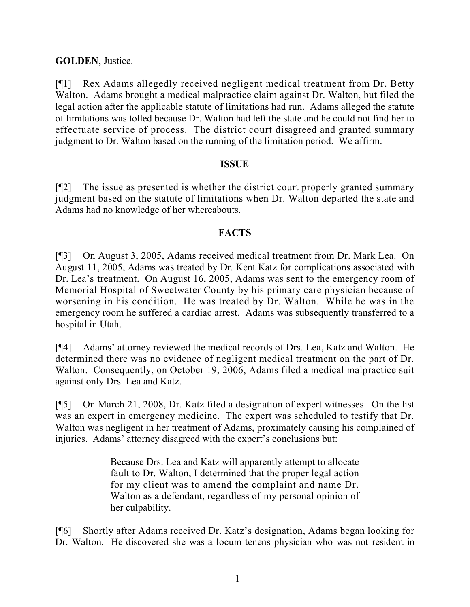# **GOLDEN**, Justice.

[¶1] Rex Adams allegedly received negligent medical treatment from Dr. Betty Walton. Adams brought a medical malpractice claim against Dr. Walton, but filed the legal action after the applicable statute of limitations had run. Adams alleged the statute of limitations was tolled because Dr. Walton had left the state and he could not find her to effectuate service of process. The district court disagreed and granted summary judgment to Dr. Walton based on the running of the limitation period. We affirm.

## **ISSUE**

[¶2] The issue as presented is whether the district court properly granted summary judgment based on the statute of limitations when Dr. Walton departed the state and Adams had no knowledge of her whereabouts.

# **FACTS**

[¶3] On August 3, 2005, Adams received medical treatment from Dr. Mark Lea. On August 11, 2005, Adams was treated by Dr. Kent Katz for complications associated with Dr. Lea's treatment. On August 16, 2005, Adams was sent to the emergency room of Memorial Hospital of Sweetwater County by his primary care physician because of worsening in his condition. He was treated by Dr. Walton. While he was in the emergency room he suffered a cardiac arrest. Adams was subsequently transferred to a hospital in Utah.

[¶4] Adams' attorney reviewed the medical records of Drs. Lea, Katz and Walton. He determined there was no evidence of negligent medical treatment on the part of Dr. Walton. Consequently, on October 19, 2006, Adams filed a medical malpractice suit against only Drs. Lea and Katz.

[¶5] On March 21, 2008, Dr. Katz filed a designation of expert witnesses. On the list was an expert in emergency medicine. The expert was scheduled to testify that Dr. Walton was negligent in her treatment of Adams, proximately causing his complained of injuries. Adams' attorney disagreed with the expert's conclusions but:

> Because Drs. Lea and Katz will apparently attempt to allocate fault to Dr. Walton, I determined that the proper legal action for my client was to amend the complaint and name Dr. Walton as a defendant, regardless of my personal opinion of her culpability.

[¶6] Shortly after Adams received Dr. Katz's designation, Adams began looking for Dr. Walton. He discovered she was a locum tenens physician who was not resident in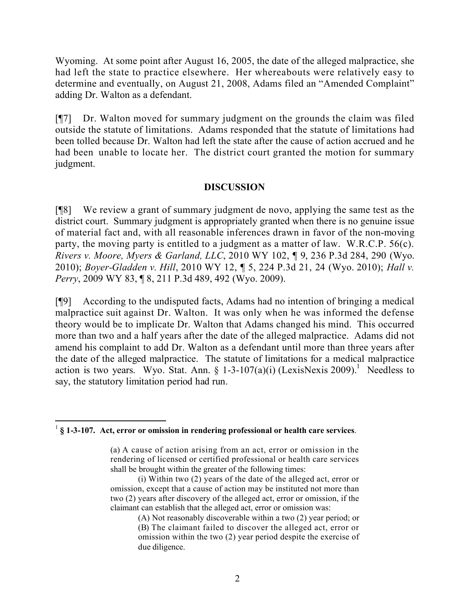Wyoming. At some point after August 16, 2005, the date of the alleged malpractice, she had left the state to practice elsewhere. Her whereabouts were relatively easy to determine and eventually, on August 21, 2008, Adams filed an "Amended Complaint" adding Dr. Walton as a defendant.

[¶7] Dr. Walton moved for summary judgment on the grounds the claim was filed outside the statute of limitations. Adams responded that the statute of limitations had been tolled because Dr. Walton had left the state after the cause of action accrued and he had been unable to locate her. The district court granted the motion for summary judgment.

## **DISCUSSION**

[¶8] We review a grant of summary judgment de novo, applying the same test as the district court. Summary judgment is appropriately granted when there is no genuine issue of material fact and, with all reasonable inferences drawn in favor of the non-moving party, the moving party is entitled to a judgment as a matter of law. W.R.C.P. 56(c). *Rivers v. Moore, Myers & Garland, LLC*, 2010 WY 102, ¶ 9, 236 P.3d 284, 290 (Wyo. 2010); *Boyer-Gladden v. Hill*, 2010 WY 12, ¶ 5, 224 P.3d 21, 24 (Wyo. 2010); *Hall v. Perry*, 2009 WY 83, ¶ 8, 211 P.3d 489, 492 (Wyo. 2009).

[¶9] According to the undisputed facts, Adams had no intention of bringing a medical malpractice suit against Dr. Walton. It was only when he was informed the defense theory would be to implicate Dr. Walton that Adams changed his mind. This occurred more than two and a half years after the date of the alleged malpractice. Adams did not amend his complaint to add Dr. Walton as a defendant until more than three years after the date of the alleged malpractice. The statute of limitations for a medical malpractice action is two years. Wyo. Stat. Ann. § 1-3-107(a)(i) (LexisNexis 2009).<sup>1</sup> Needless to say, the statutory limitation period had run.

 $\overline{a}$ 1 **§ 1-3-107. Act, error or omission in rendering professional or health care services**.

<sup>(</sup>a) A cause of action arising from an act, error or omission in the rendering of licensed or certified professional or health care services shall be brought within the greater of the following times:

<sup>(</sup>i) Within two (2) years of the date of the alleged act, error or omission, except that a cause of action may be instituted not more than two (2) years after discovery of the alleged act, error or omission, if the claimant can establish that the alleged act, error or omission was:

<sup>(</sup>A) Not reasonably discoverable within a two (2) year period; or

<sup>(</sup>B) The claimant failed to discover the alleged act, error or omission within the two (2) year period despite the exercise of due diligence.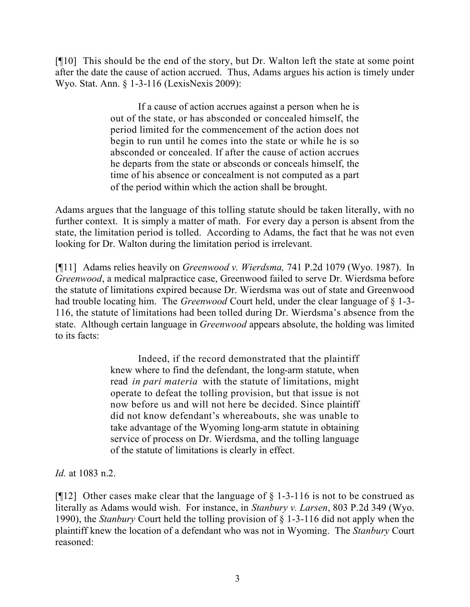[¶10] This should be the end of the story, but Dr. Walton left the state at some point after the date the cause of action accrued. Thus, Adams argues his action is timely under Wyo. Stat. Ann. § 1-3-116 (LexisNexis 2009):

> If a cause of action accrues against a person when he is out of the state, or has absconded or concealed himself, the period limited for the commencement of the action does not begin to run until he comes into the state or while he is so absconded or concealed. If after the cause of action accrues he departs from the state or absconds or conceals himself, the time of his absence or concealment is not computed as a part of the period within which the action shall be brought.

Adams argues that the language of this tolling statute should be taken literally, with no further context. It is simply a matter of math. For every day a person is absent from the state, the limitation period is tolled. According to Adams, the fact that he was not even looking for Dr. Walton during the limitation period is irrelevant.

[¶11] Adams relies heavily on *Greenwood v. Wierdsma,* 741 P.2d 1079 (Wyo. 1987). In *Greenwood*, a medical malpractice case, Greenwood failed to serve Dr. Wierdsma before the statute of limitations expired because Dr. Wierdsma was out of state and Greenwood had trouble locating him. The *Greenwood* Court held, under the clear language of § 1-3- 116, the statute of limitations had been tolled during Dr. Wierdsma's absence from the state. Although certain language in *Greenwood* appears absolute, the holding was limited to its facts:

> Indeed, if the record demonstrated that the plaintiff knew where to find the defendant, the long-arm statute, when read *in pari materia* with the statute of limitations, might operate to defeat the tolling provision, but that issue is not now before us and will not here be decided. Since plaintiff did not know defendant's whereabouts, she was unable to take advantage of the Wyoming long-arm statute in obtaining service of process on Dr. Wierdsma, and the tolling language of the statute of limitations is clearly in effect.

*Id.* at 1083 n.2.

[ $[12]$  Other cases make clear that the language of § 1-3-116 is not to be construed as literally as Adams would wish. For instance, in *Stanbury v. Larsen*, 803 P.2d 349 (Wyo. 1990), the *Stanbury* Court held the tolling provision of § 1-3-116 did not apply when the plaintiff knew the location of a defendant who was not in Wyoming. The *Stanbury* Court reasoned: